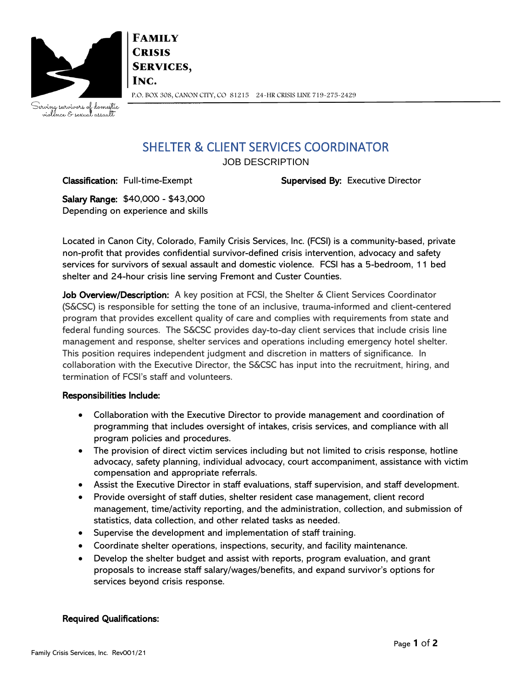

**FAMILY CRISIS SERVICES,** INC. P.O. BOX 308, CANON CITY, CO 81215 24-HR CRISIS LINE 719-275-2429

Serving survivors of domestic<br>violence & sexual assault

## SHELTER & CLIENT SERVICES COORDINATOR

JOB DESCRIPTION

Classification: Full-time-Exempt Supervised By: Executive Director

Salary Range: \$40,000 - \$43,000 Depending on experience and skills

Located in Canon City, Colorado, Family Crisis Services, Inc. (FCSI) is a community-based, private non-profit that provides confidential survivor-defined crisis intervention, advocacy and safety services for survivors of sexual assault and domestic violence. FCSI has a 5-bedroom, 11 bed shelter and 24-hour crisis line serving Fremont and Custer Counties.

Job Overview/Description: A key position at FCSI, the Shelter  $\&$  Client Services Coordinator (S&CSC) is responsible for setting the tone of an inclusive, trauma-informed and client-centered program that provides excellent quality of care and complies with requirements from state and federal funding sources. The S&CSC provides day-to-day client services that include crisis line management and response, shelter services and operations including emergency hotel shelter. This position requires independent judgment and discretion in matters of significance. In collaboration with the Executive Director, the S&CSC has input into the recruitment, hiring, and termination of FCSI's staff and volunteers.

## Responsibilities Include:

- Collaboration with the Executive Director to provide management and coordination of programming that includes oversight of intakes, crisis services, and compliance with all program policies and procedures.
- The provision of direct victim services including but not limited to crisis response, hotline advocacy, safety planning, individual advocacy, court accompaniment, assistance with victim compensation and appropriate referrals.
- Assist the Executive Director in staff evaluations, staff supervision, and staff development.
- Provide oversight of staff duties, shelter resident case management, client record management, time/activity reporting, and the administration, collection, and submission of statistics, data collection, and other related tasks as needed.
- Supervise the development and implementation of staff training.
- Coordinate shelter operations, inspections, security, and facility maintenance.
- Develop the shelter budget and assist with reports, program evaluation, and grant proposals to increase staff salary/wages/benefits, and expand survivor's options for services beyond crisis response.

## Required Qualifications: